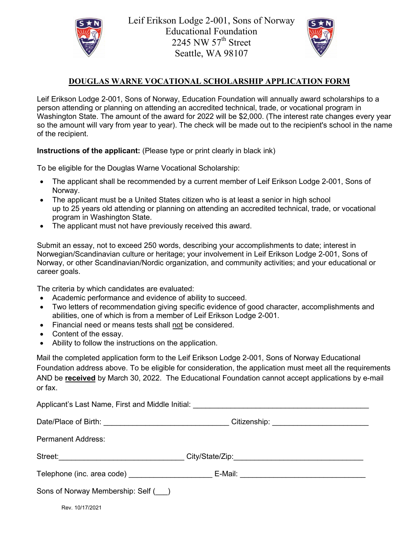

Leif Erikson Lodge 2-001, Sons of Norway Educational Foundation 2245 NW  $57<sup>th</sup>$  Street Seattle, WA 98107



## **DOUGLAS WARNE VOCATIONAL SCHOLARSHIP APPLICATION FORM**

Leif Erikson Lodge 2-001, Sons of Norway, Education Foundation will annually award scholarships to a person attending or planning on attending an accredited technical, trade, or vocational program in Washington State. The amount of the award for 2022 will be \$2,000. (The interest rate changes every year so the amount will vary from year to year). The check will be made out to the recipient's school in the name of the recipient.

**Instructions of the applicant:** (Please type or print clearly in black ink)

To be eligible for the Douglas Warne Vocational Scholarship:

- The applicant shall be recommended by a current member of Leif Erikson Lodge 2-001, Sons of Norway.
- The applicant must be a United States citizen who is at least a senior in high school up to 25 years old attending or planning on attending an accredited technical, trade, or vocational program in Washington State.
- The applicant must not have previously received this award.

Submit an essay, not to exceed 250 words, describing your accomplishments to date; interest in Norwegian/Scandinavian culture or heritage; your involvement in Leif Erikson Lodge 2-001, Sons of Norway, or other Scandinavian/Nordic organization, and community activities; and your educational or career goals.

The criteria by which candidates are evaluated:

- Academic performance and evidence of ability to succeed.
- Two letters of recommendation giving specific evidence of good character, accomplishments and abilities, one of which is from a member of Leif Erikson Lodge 2-001.
- Financial need or means tests shall not be considered.
- Content of the essay.
- Ability to follow the instructions on the application.

Mail the completed application form to the Leif Erikson Lodge 2-001, Sons of Norway Educational Foundation address above. To be eligible for consideration, the application must meet all the requirements AND be **received** by March 30, 2022. The Educational Foundation cannot accept applications by e-mail or fax.

|                                    | Applicant's Last Name, First and Middle Initial: _______________________________ |  |
|------------------------------------|----------------------------------------------------------------------------------|--|
|                                    | Citizenship: _____________________________                                       |  |
| <b>Permanent Address:</b>          |                                                                                  |  |
|                                    | Street:________________________________City/State/Zip:__________________________ |  |
|                                    | E-Mail: _______________________________                                          |  |
| Sons of Norway Membership: Self () |                                                                                  |  |
| Rev. 10/17/2021                    |                                                                                  |  |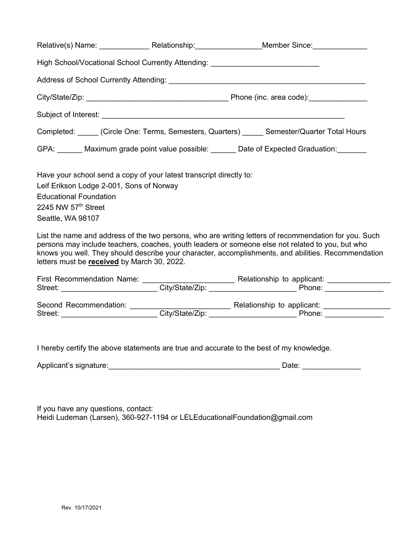| High School/Vocational School Currently Attending: _____________________________                                                                                                                                                                               |                                                                                                                                                                                                                                                                                                                  |
|----------------------------------------------------------------------------------------------------------------------------------------------------------------------------------------------------------------------------------------------------------------|------------------------------------------------------------------------------------------------------------------------------------------------------------------------------------------------------------------------------------------------------------------------------------------------------------------|
|                                                                                                                                                                                                                                                                |                                                                                                                                                                                                                                                                                                                  |
|                                                                                                                                                                                                                                                                |                                                                                                                                                                                                                                                                                                                  |
|                                                                                                                                                                                                                                                                |                                                                                                                                                                                                                                                                                                                  |
|                                                                                                                                                                                                                                                                |                                                                                                                                                                                                                                                                                                                  |
|                                                                                                                                                                                                                                                                | Completed: _____ (Circle One: Terms, Semesters, Quarters) _____ Semester/Quarter Total Hours                                                                                                                                                                                                                     |
|                                                                                                                                                                                                                                                                | GPA: Maximum grade point value possible: Date of Expected Graduation:                                                                                                                                                                                                                                            |
| Have your school send a copy of your latest transcript directly to:<br>Leif Erikson Lodge 2-001, Sons of Norway<br><b>Educational Foundation</b><br>2245 NW 57 <sup>th</sup> Street<br>Seattle, WA 98107<br>letters must be <b>received</b> by March 30, 2022. | List the name and address of the two persons, who are writing letters of recommendation for you. Such<br>persons may include teachers, coaches, youth leaders or someone else not related to you, but who<br>knows you well. They should describe your character, accomplishments, and abilities. Recommendation |
|                                                                                                                                                                                                                                                                |                                                                                                                                                                                                                                                                                                                  |
|                                                                                                                                                                                                                                                                |                                                                                                                                                                                                                                                                                                                  |
|                                                                                                                                                                                                                                                                | I hereby certify the above statements are true and accurate to the best of my knowledge.                                                                                                                                                                                                                         |
|                                                                                                                                                                                                                                                                |                                                                                                                                                                                                                                                                                                                  |

If you have any questions, contact: Heidi Ludeman (Larsen), 360-927-1194 or LELEducationalFoundation@gmail.com